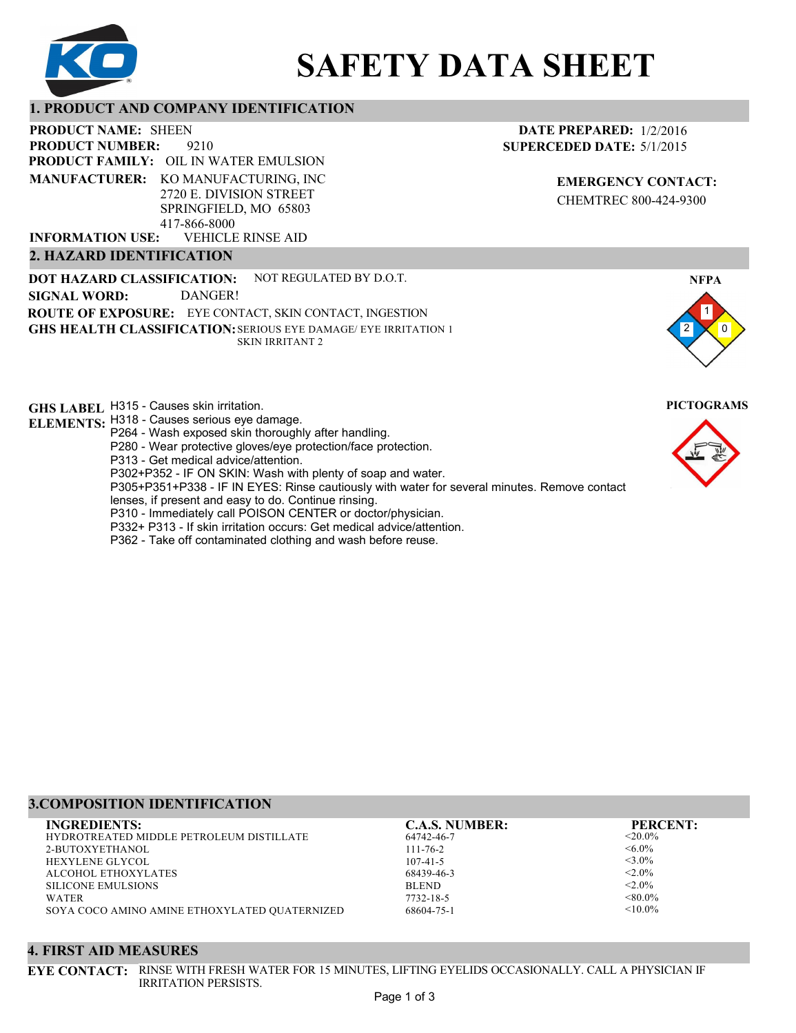

# **SAFETY DATA SHEET**

# **1. PRODUCT AND COMPANY IDENTIFICATION**

9210 **PRODUCT NAME: SHEEN PRODUCT FAMILY: OIL IN WATER EMULSION** VEHICLE RINSE AID **PRODUCT NUMBER: MANUFACTURER:** KO MANUFACTURING, INC 2720 E. DIVISION STREET SPRINGFIELD, MO 65803 417-866-8000 **INFORMATION USE:**

### **2. HAZARD IDENTIFICATION**

**DOT HAZARD CLASSIFICATION: GHS HEALTH CLASSIFICATION:** SERIOUS EYE DAMAGE/ EYE IRRITATION 1 **ROUTE OF EXPOSURE:** EYE CONTACT, SKIN CONTACT, INGESTION NOT REGULATED BY D.O.T. SKIN IRRITANT 2 **SIGNAL WORD:** DANGER!

**GHS LABEL**  H315 - Causes skin irritation. **PICTOGRAMS**

- **ELEMENTS:** H318 Causes serious eye damage. P264 - Wash exposed skin thoroughly after handling.
	- P280 Wear protective gloves/eye protection/face protection.
	- P313 Get medical advice/attention.
	- P302+P352 IF ON SKIN: Wash with plenty of soap and water.

P305+P351+P338 - IF IN EYES: Rinse cautiously with water for several minutes. Remove contact

- lenses, if present and easy to do. Continue rinsing.
- P310 Immediately call POISON CENTER or doctor/physician.
- P332+ P313 If skin irritation occurs: Get medical advice/attention.
- P362 Take off contaminated clothing and wash before reuse.

# **DATE PREPARED:** 1/2/2016 **SUPERCEDED DATE:** 5/1/2015

**EMERGENCY CONTACT:** CHEMTREC 800-424-9300





# **3.COMPOSITION IDENTIFICATION**

| <b>INGREDIENTS:</b>                             | <b>C.A.S. NUMBER:</b> | <b>PERCENT:</b> |
|-------------------------------------------------|-----------------------|-----------------|
| <b>HYDROTREATED MIDDLE PETROLEUM DISTILLATE</b> | 64742-46-7            | $<20.0\%$       |
| 2-BUTOXYETHANOL                                 | $111 - 76 - 2$        | $<6.0\%$        |
| <b>HEXYLENE GLYCOL</b>                          | $107 - 41 - 5$        | $<$ 3.0%        |
| ALCOHOL ETHOXYLATES                             | 68439-46-3            | $< 2.0\%$       |
| <b>SILICONE EMULSIONS</b>                       | <b>BLEND</b>          | $< 2.0\%$       |
| <b>WATER</b>                                    | 7732-18-5             | $< 80.0\%$      |
| SOYA COCO AMINO AMINE ETHOXYLATED QUATERNIZED   | 68604-75-1            | $< 10.0\%$      |

#### **4. FIRST AID MEASURES**

**EYE CONTACT:** RINSE WITH FRESH WATER FOR 15 MINUTES, LIFTING EYELIDS OCCASIONALLY. CALL A PHYSICIAN IF IRRITATION PERSISTS.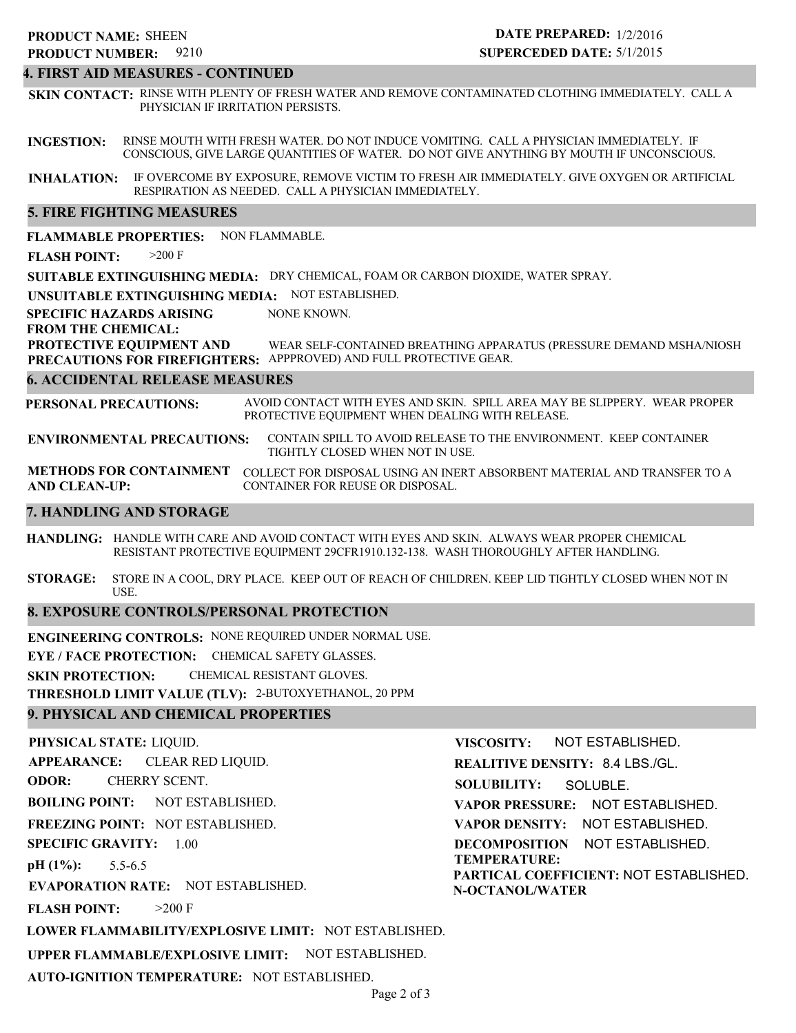#### **4. FIRST AID MEASURES - CONTINUED**

**SKIN CONTACT:** RINSE WITH PLENTY OF FRESH WATER AND REMOVE CONTAMINATED CLOTHING IMMEDIATELY. CALL A PHYSICIAN IF IRRITATION PERSISTS.

**INGESTION:** RINSE MOUTH WITH FRESH WATER. DO NOT INDUCE VOMITING. CALL A PHYSICIAN IMMEDIATELY. IF CONSCIOUS, GIVE LARGE QUANTITIES OF WATER. DO NOT GIVE ANYTHING BY MOUTH IF UNCONSCIOUS.

**INHALATION:** IF OVERCOME BY EXPOSURE, REMOVE VICTIM TO FRESH AIR IMMEDIATELY. GIVE OXYGEN OR ARTIFICIAL RESPIRATION AS NEEDED. CALL A PHYSICIAN IMMEDIATELY.

#### **5. FIRE FIGHTING MEASURES**

**FLAMMABLE PROPERTIES:** NON FLAMMABLE.

**FLASH POINT:** >200 F

**SUITABLE EXTINGUISHING MEDIA:** DRY CHEMICAL, FOAM OR CARBON DIOXIDE, WATER SPRAY.

**UNSUITABLE EXTINGUISHING MEDIA:** NOT ESTABLISHED.

**SPECIFIC HAZARDS ARISING** NONE KNOWN.

**FROM THE CHEMICAL:**

**PROTECTIVE EQUIPMENT AND PRECAUTIONS FOR FIREFIGHTERS:** APPPROVED) AND FULL PROTECTIVE GEAR. WEAR SELF-CONTAINED BREATHING APPARATUS (PRESSURE DEMAND MSHA/NIOSH

#### **6. ACCIDENTAL RELEASE MEASURES**

**PERSONAL PRECAUTIONS:** AVOID CONTACT WITH EYES AND SKIN. SPILL AREA MAY BE SLIPPERY. WEAR PROPER PROTECTIVE EQUIPMENT WHEN DEALING WITH RELEASE.

**ENVIRONMENTAL PRECAUTIONS:** CONTAIN SPILL TO AVOID RELEASE TO THE ENVIRONMENT. KEEP CONTAINER TIGHTLY CLOSED WHEN NOT IN USE.

**METHODS FOR CONTAINMENT** COLLECT FOR DISPOSAL USING AN INERT ABSORBENT MATERIAL AND TRANSFER TO A **AND CLEAN-UP:** CONTAINER FOR REUSE OR DISPOSAL.

#### **7. HANDLING AND STORAGE**

**HANDLING:** HANDLE WITH CARE AND AVOID CONTACT WITH EYES AND SKIN. ALWAYS WEAR PROPER CHEMICAL RESISTANT PROTECTIVE EQUIPMENT 29CFR1910.132-138. WASH THOROUGHLY AFTER HANDLING.

**STORAGE:** STORE IN A COOL, DRY PLACE. KEEP OUT OF REACH OF CHILDREN. KEEP LID TIGHTLY CLOSED WHEN NOT IN USE.

### **8. EXPOSURE CONTROLS/PERSONAL PROTECTION**

**ENGINEERING CONTROLS:** NONE REQUIRED UNDER NORMAL USE.

**EYE / FACE PROTECTION:** CHEMICAL SAFETY GLASSES.

**SKIN PROTECTION:** CHEMICAL RESISTANT GLOVES.

**THRESHOLD LIMIT VALUE (TLV):** 2-BUTOXYETHANOL, 20 PPM

### **9. PHYSICAL AND CHEMICAL PROPERTIES**

**PHYSICAL STATE:** LIQUID. **APPEARANCE: ODOR: BOILING POINT:** NOT ESTABLISHED. **FREEZING POINT:** NOT ESTABLISHED. **SPECIFIC GRAVITY:** 1.00 **pH (1%): EVAPORATION RATE:** NOT ESTABLISHED. **FLASH POINT: LOWER FLAMMABILITY/EXPLOSIVE LIMIT:** NOT ESTABLISHED. **UPPER FLAMMABLE/EXPLOSIVE LIMIT:** NOT ESTABLISHED. 5.5-6.5  $>200$  F CLEAR RED LIQUID. CHERRY SCENT. **VISCOSITY: REALITIVE DENSITY:** 8.4 LBS./GL. **SOLUBILITY: VAPOR PRESSURE:** NOT ESTABLISHED. **VAPOR DENSITY:** NOT ESTABLISHED. **DECOMPOSITION** NOT ESTABLISHED. **TEMPERATURE: PARTICAL COEFFICIENT:** NOT ESTABLISHED. **N-OCTANOL/WATER** NOT ESTABLISHED. SOLUBLE.

**AUTO-IGNITION TEMPERATURE:** NOT ESTABLISHED.